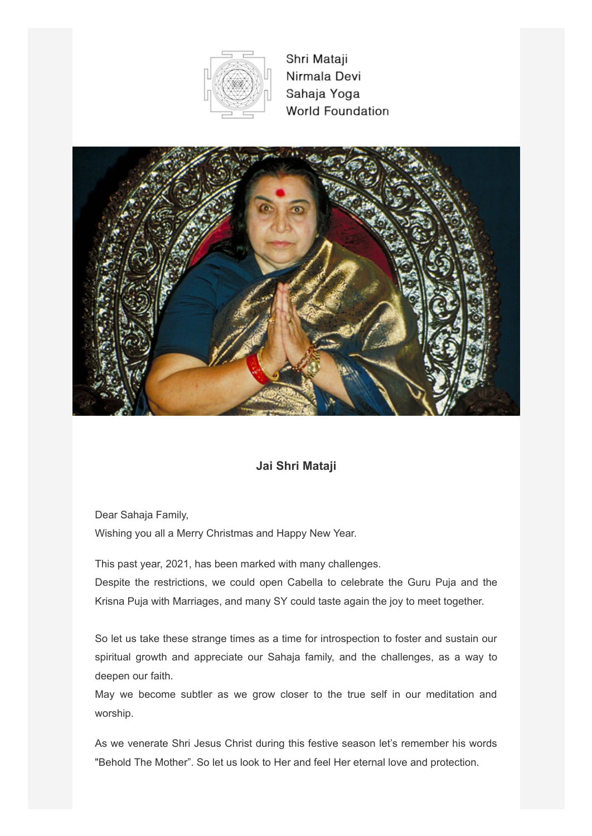

Shri Mataji Nirmala Devi Sahaja Yoga World Foundation



## **Jai Shri Mataji**

Dear Sahaja Family,

Wishing you all a Merry Christmas and Happy New Year.

This past year, 2021, has been marked with many challenges.

Despite the restrictions, we could open Cabella to celebrate the Guru Puja and the Krisna Puja with Marriages, and many SY could taste again the joy to meet together.

So let us take these strange times as a time for introspection to foster and sustain our spiritual growth and appreciate our Sahaja family, and the challenges, as a way to deepen our faith.

May we become subtler as we grow closer to the true self in our meditation and worship.

As we venerate Shri Jesus Christ during this festive season let's remember his words "Behold The Mother". So let us look to Her and feel Her eternal love and protection.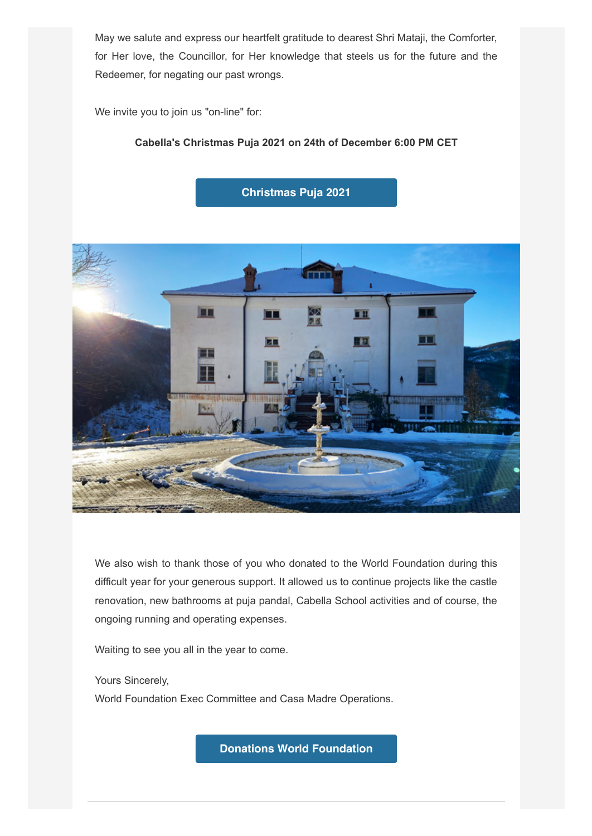May we salute and express our heartfelt gratitude to dearest Shri Mataji, the Comforter, for Her love, the Councillor, for Her knowledge that steels us for the future and the Redeemer, for negating our past wrongs.

We invite you to join us "on-line" for:

## **Cabella's Christmas Puja 2021 on 24th of December 6:00 PM CET**



We also wish to thank those of you who donated to the World Foundation during this difficult year for your generous support. It allowed us to continue projects like the castle renovation, new bathrooms at puja pandal, Cabella School activities and of course, the ongoing running and operating expenses.

Waiting to see you all in the year to come.

Yours Sincerely,

World Foundation Exec Committee and Casa Madre Operations.

**[Donations World Foundation](https://legacy.shrimatajifoundation.org/)**